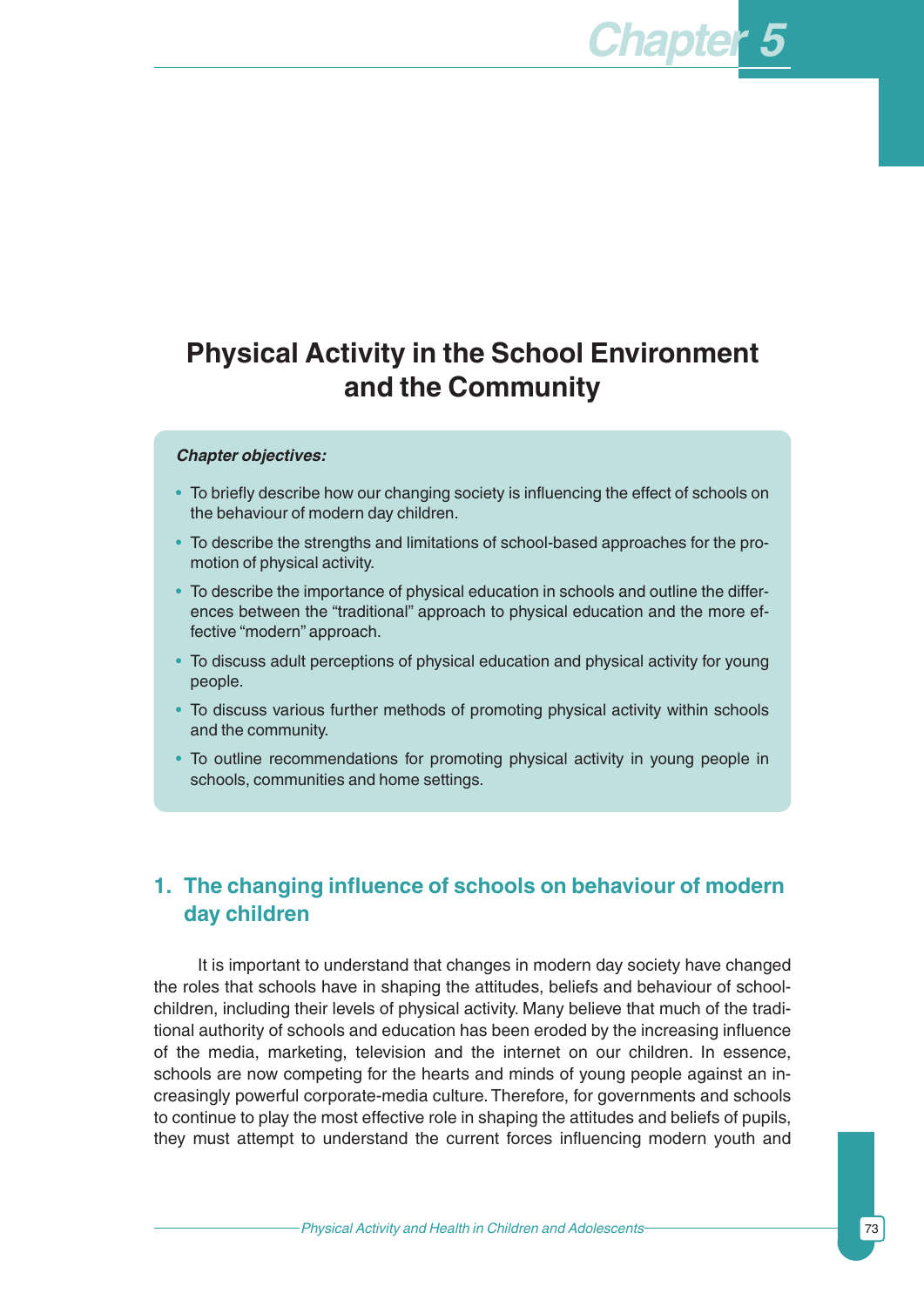# **Physical Activity in the School Environment and the Community**

#### *Chapter objectives:*

- To briefly describe how our changing society is influencing the effect of schools on the behaviour of modern day children.
- To describe the strengths and limitations of school-based approaches for the promotion of physical activity.
- To describe the importance of physical education in schools and outline the differences between the "traditional" approach to physical education and the more effective "modern" approach.
- To discuss adult perceptions of physical education and physical activity for young people.
- To discuss various further methods of promoting physical activity within schools and the community.
- To outline recommendations for promoting physical activity in young people in schools, communities and home settings.

### **1. The changing influence of schools on behaviour of modern day children**

It is important to understand that changes in modern day society have changed the roles that schools have in shaping the attitudes, beliefs and behaviour of schoolchildren, including their levels of physical activity. Many believe that much of the traditional authority of schools and education has been eroded by the increasing influence of the media, marketing, television and the internet on our children. In essence, schools are now competing for the hearts and minds of young people against an increasingly powerful corporate-media culture. Therefore, for governments and schools to continue to play the most effective role in shaping the attitudes and beliefs of pupils, they must attempt to understand the current forces influencing modern youth and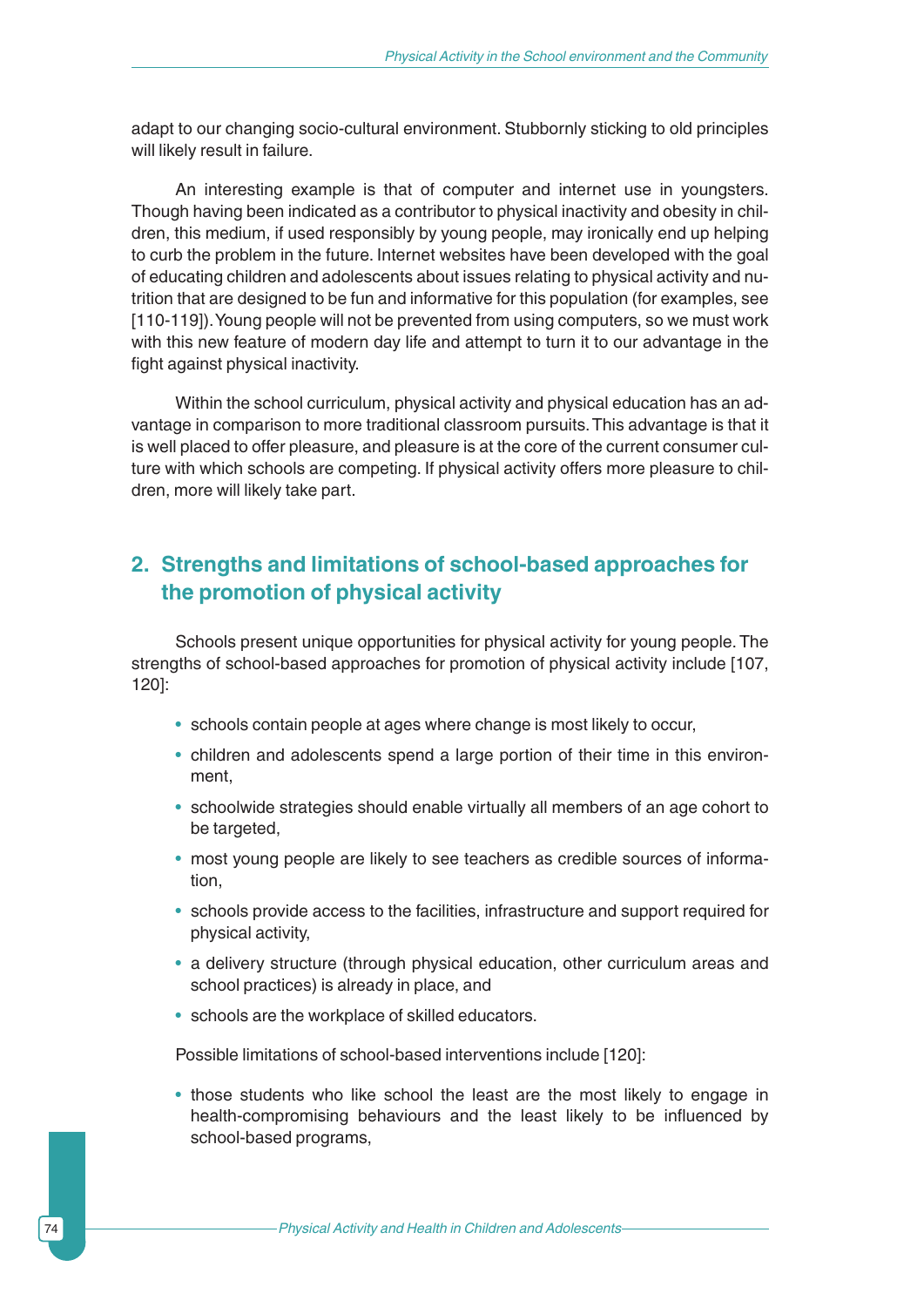adapt to our changing socio-cultural environment. Stubbornly sticking to old principles will likely result in failure.

An interesting example is that of computer and internet use in youngsters. Though having been indicated as a contributor to physical inactivity and obesity in children, this medium, if used responsibly by young people, may ironically end up helping to curb the problem in the future. Internet websites have been developed with the goal of educating children and adolescents about issues relating to physical activity and nutrition that are designed to be fun and informative for this population (for examples, see [110-119]). Young people will not be prevented from using computers, so we must work with this new feature of modern day life and attempt to turn it to our advantage in the fight against physical inactivity.

Within the school curriculum, physical activity and physical education has an advantage in comparison to more traditional classroom pursuits.This advantage is that it is well placed to offer pleasure, and pleasure is at the core of the current consumer culture with which schools are competing. If physical activity offers more pleasure to children, more will likely take part.

### **2. Strengths and limitations of school-based approaches for the promotion of physical activity**

Schools present unique opportunities for physical activity for young people. The strengths of school-based approaches for promotion of physical activity include [107, 120]:

- schools contain people at ages where change is most likely to occur,
- children and adolescents spend a large portion of their time in this environment,
- schoolwide strategies should enable virtually all members of an age cohort to be targeted,
- most young people are likely to see teachers as credible sources of information,
- schools provide access to the facilities, infrastructure and support required for physical activity,
- a delivery structure (through physical education, other curriculum areas and school practices) is already in place, and
- schools are the workplace of skilled educators.

Possible limitations of school-based interventions include [120]:

• those students who like school the least are the most likely to engage in health-compromising behaviours and the least likely to be influenced by school-based programs,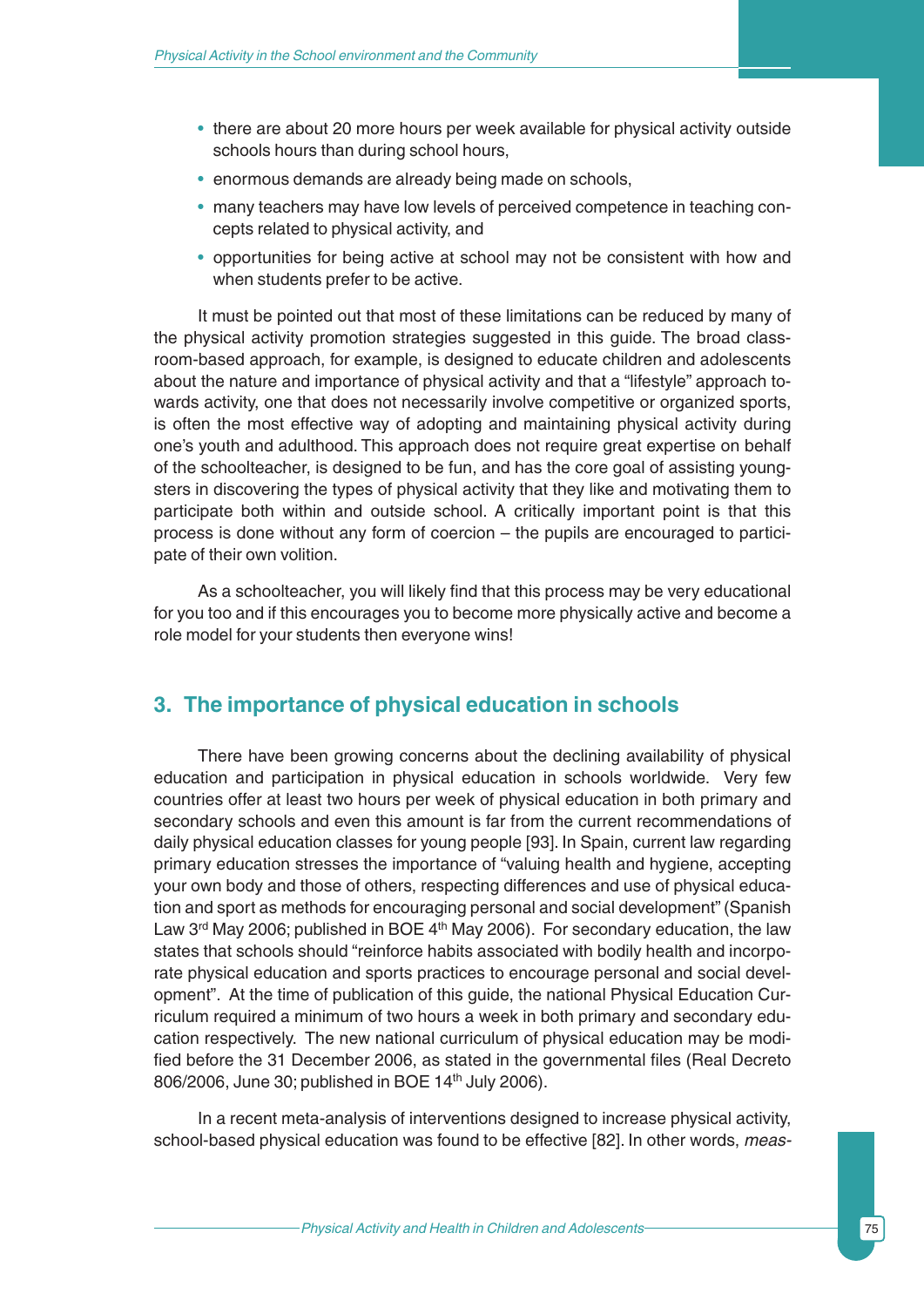- there are about 20 more hours per week available for physical activity outside schools hours than during school hours,
- enormous demands are already being made on schools,
- many teachers may have low levels of perceived competence in teaching concepts related to physical activity, and
- opportunities for being active at school may not be consistent with how and when students prefer to be active.

It must be pointed out that most of these limitations can be reduced by many of the physical activity promotion strategies suggested in this guide. The broad classroom-based approach, for example, is designed to educate children and adolescents about the nature and importance of physical activity and that a "lifestyle" approach towards activity, one that does not necessarily involve competitive or organized sports, is often the most effective way of adopting and maintaining physical activity during one's youth and adulthood. This approach does not require great expertise on behalf of the schoolteacher, is designed to be fun, and has the core goal of assisting youngsters in discovering the types of physical activity that they like and motivating them to participate both within and outside school. A critically important point is that this process is done without any form of coercion – the pupils are encouraged to participate of their own volition.

As a schoolteacher, you will likely find that this process may be very educational for you too and if this encourages you to become more physically active and become a role model for your students then everyone wins!

#### **3. The importance of physical education in schools**

There have been growing concerns about the declining availability of physical education and participation in physical education in schools worldwide. Very few countries offer at least two hours per week of physical education in both primary and secondary schools and even this amount is far from the current recommendations of daily physical education classes for young people [93]. In Spain, current law regarding primary education stresses the importance of "valuing health and hygiene, accepting your own body and those of others, respecting differences and use of physical education and sport as methods for encouraging personal and social development" (Spanish Law 3<sup>rd</sup> May 2006; published in BOE 4<sup>th</sup> May 2006). For secondary education, the law states that schools should "reinforce habits associated with bodily health and incorporate physical education and sports practices to encourage personal and social development". At the time of publication of this guide, the national Physical Education Curriculum required a minimum of two hours a week in both primary and secondary education respectively. The new national curriculum of physical education may be modified before the 31 December 2006, as stated in the governmental files (Real Decreto 806/2006, June 30; published in BOE 14<sup>th</sup> July 2006).

In a recent meta-analysis of interventions designed to increase physical activity, school-based physical education was found to be effective [82]. In other words, *meas-*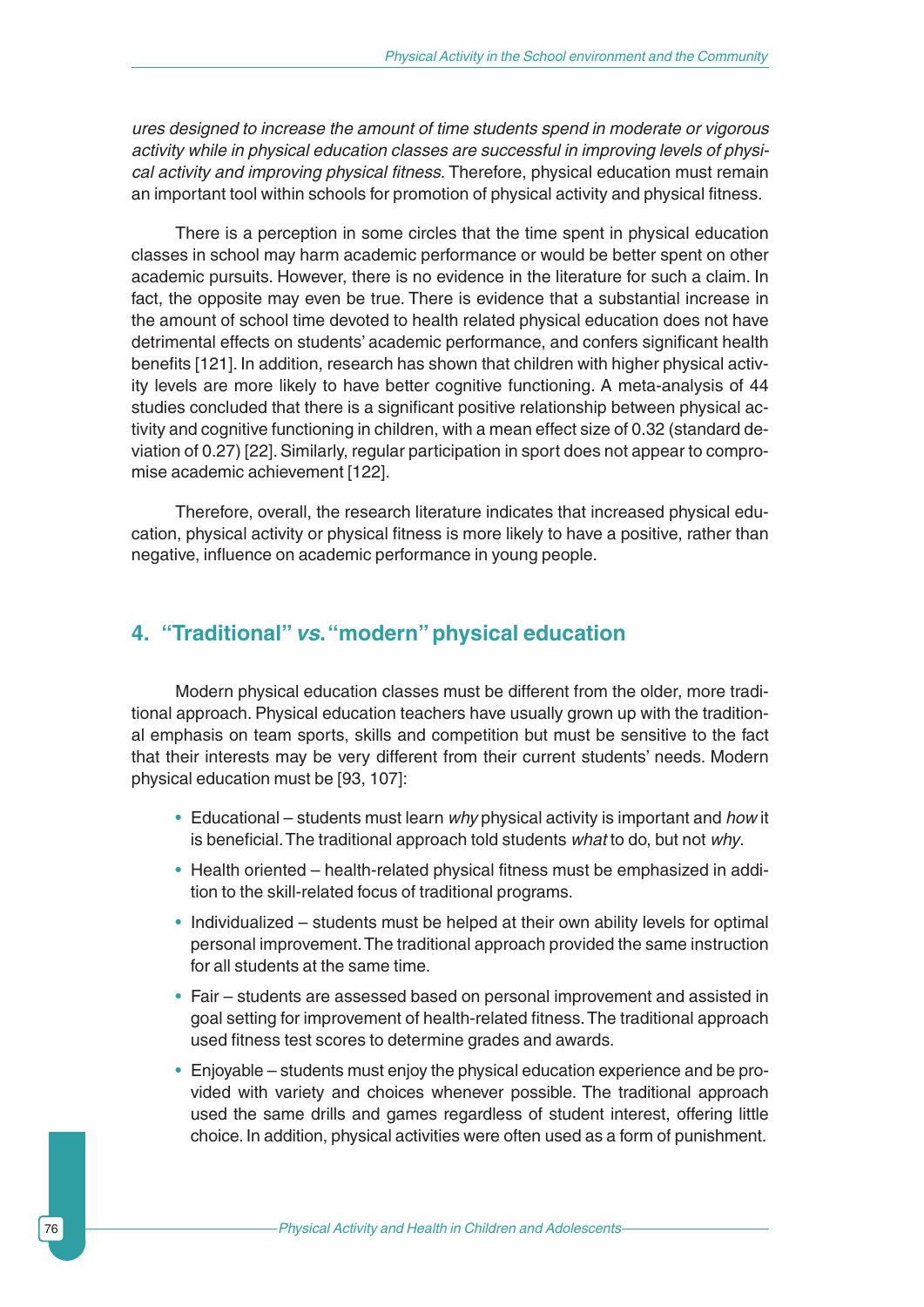*ures designed to increase the amount of time students spend in moderate or vigorous activity while in physical education classes are successful in improving levels of physical activity and improving physical fitness.* Therefore, physical education must remain an important tool within schools for promotion of physical activity and physical fitness.

There is a perception in some circles that the time spent in physical education classes in school may harm academic performance or would be better spent on other academic pursuits. However, there is no evidence in the literature for such a claim. In fact, the opposite may even be true. There is evidence that a substantial increase in the amount of school time devoted to health related physical education does not have detrimental effects on students' academic performance, and confers significant health benefits [121]. In addition, research has shown that children with higher physical activity levels are more likely to have better cognitive functioning. A meta-analysis of 44 studies concluded that there is a significant positive relationship between physical activity and cognitive functioning in children, with a mean effect size of 0.32 (standard deviation of 0.27) [22]. Similarly, regular participation in sport does not appear to compromise academic achievement [122].

Therefore, overall, the research literature indicates that increased physical education, physical activity or physical fitness is more likely to have a positive, rather than negative, influence on academic performance in young people.

#### **4. "Traditional"** *vs***."modern" physical education**

Modern physical education classes must be different from the older, more traditional approach. Physical education teachers have usually grown up with the traditional emphasis on team sports, skills and competition but must be sensitive to the fact that their interests may be very different from their current students' needs. Modern physical education must be [93, 107]:

- Educational students must learn *why* physical activity is important and *how* it is beneficial.The traditional approach told students *what* to do, but not *why*.
- Health oriented health-related physical fitness must be emphasized in addition to the skill-related focus of traditional programs.
- Individualized students must be helped at their own ability levels for optimal personal improvement.The traditional approach provided the same instruction for all students at the same time.
- Fair students are assessed based on personal improvement and assisted in goal setting for improvement of health-related fitness.The traditional approach used fitness test scores to determine grades and awards.
- Enjoyable students must enjoy the physical education experience and be provided with variety and choices whenever possible. The traditional approach used the same drills and games regardless of student interest, offering little choice. In addition, physical activities were often used as a form of punishment.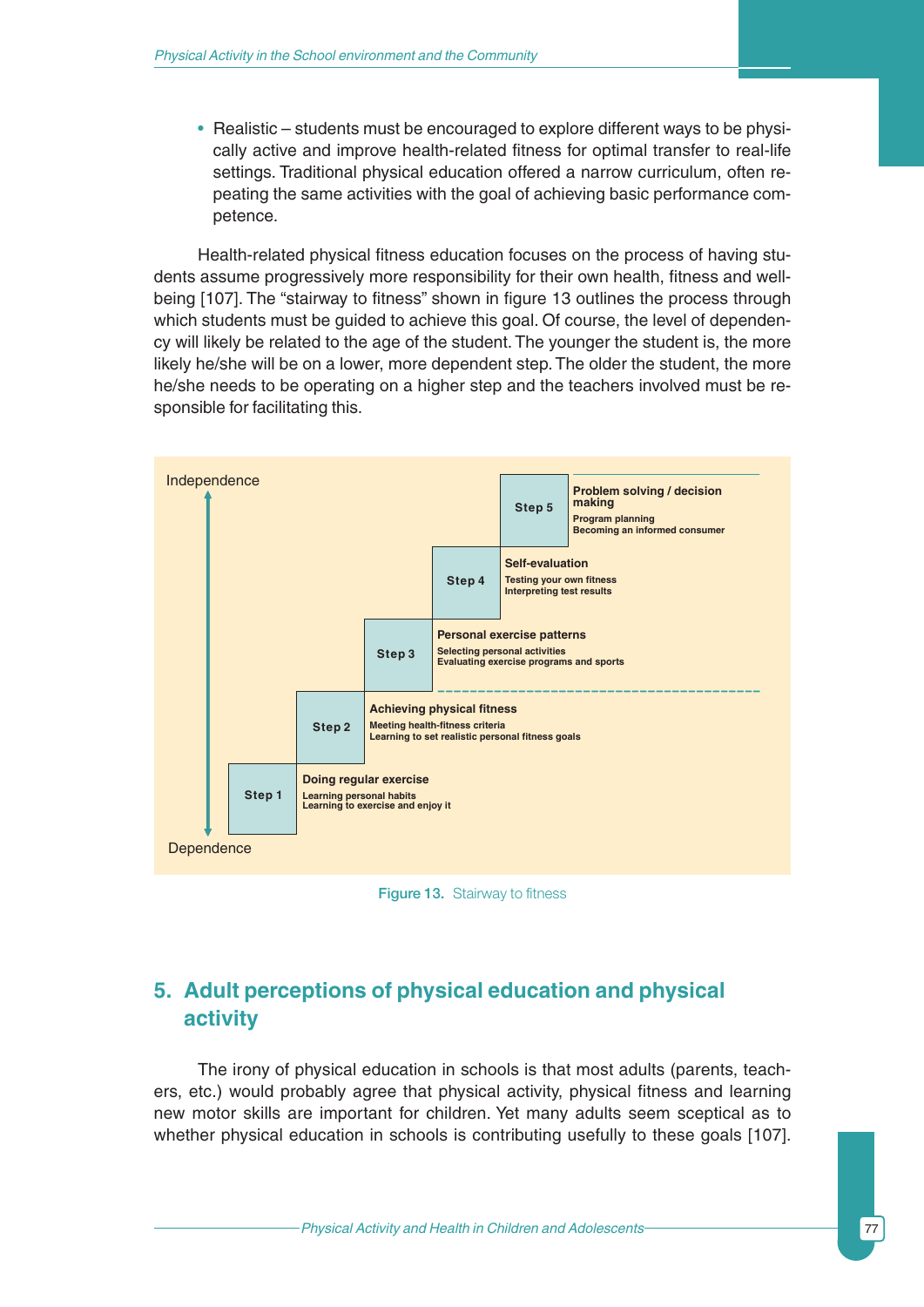• Realistic – students must be encouraged to explore different ways to be physically active and improve health-related fitness for optimal transfer to real-life settings. Traditional physical education offered a narrow curriculum, often repeating the same activities with the goal of achieving basic performance competence.

Health-related physical fitness education focuses on the process of having students assume progressively more responsibility for their own health, fitness and wellbeing [107]. The "stairway to fitness" shown in figure 13 outlines the process through which students must be guided to achieve this goal. Of course, the level of dependency will likely be related to the age of the student. The younger the student is, the more likely he/she will be on a lower, more dependent step. The older the student, the more he/she needs to be operating on a higher step and the teachers involved must be responsible for facilitating this.



Figure 13. Stairway to fitness

# **5. Adult perceptions of physical education and physical activity**

The irony of physical education in schools is that most adults (parents, teachers, etc.) would probably agree that physical activity, physical fitness and learning new motor skills are important for children. Yet many adults seem sceptical as to whether physical education in schools is contributing usefully to these goals [107].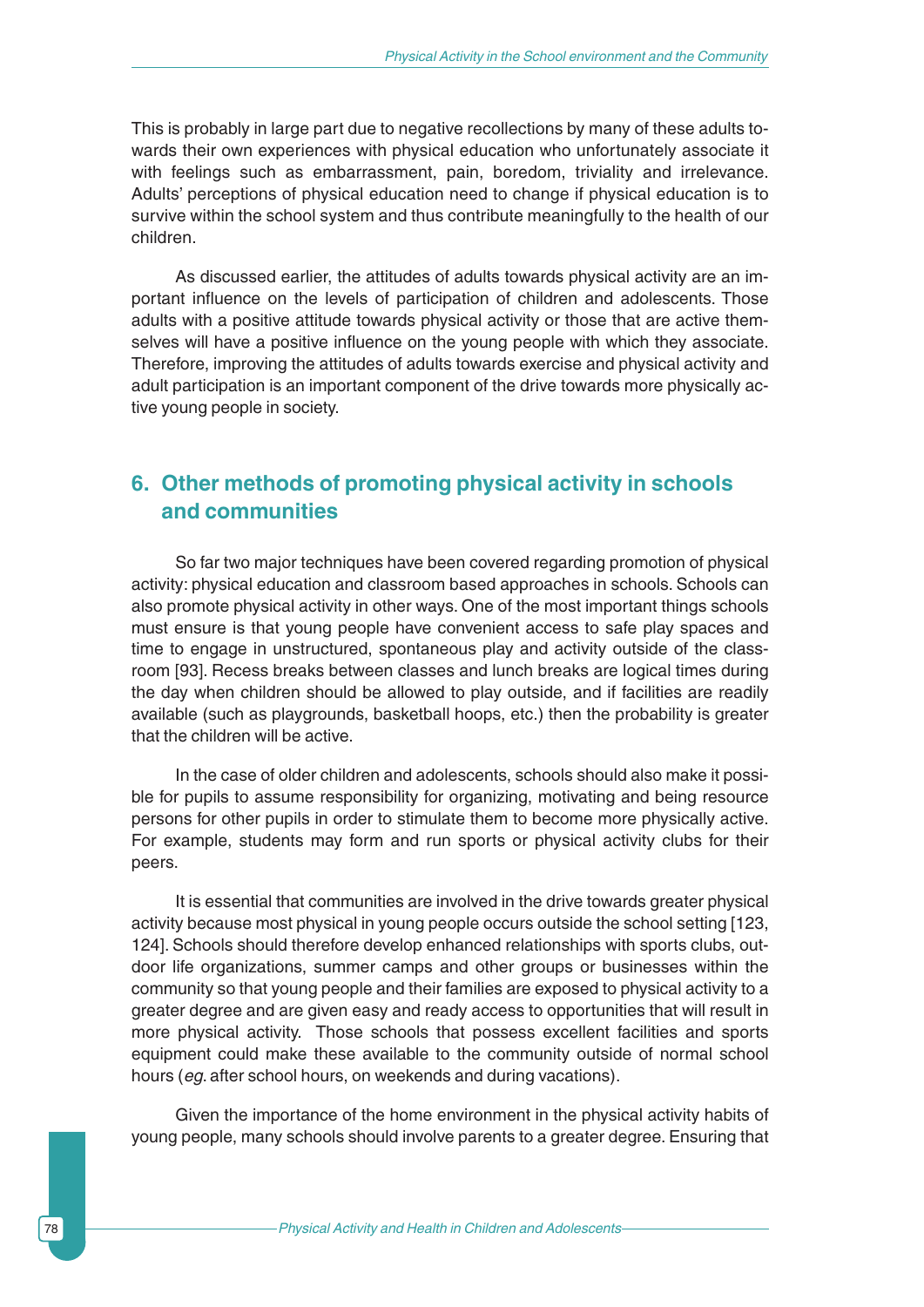This is probably in large part due to negative recollections by many of these adults towards their own experiences with physical education who unfortunately associate it with feelings such as embarrassment, pain, boredom, triviality and irrelevance. Adults' perceptions of physical education need to change if physical education is to survive within the school system and thus contribute meaningfully to the health of our children.

As discussed earlier, the attitudes of adults towards physical activity are an important influence on the levels of participation of children and adolescents. Those adults with a positive attitude towards physical activity or those that are active themselves will have a positive influence on the young people with which they associate. Therefore, improving the attitudes of adults towards exercise and physical activity and adult participation is an important component of the drive towards more physically active young people in society.

### **6. Other methods of promoting physical activity in schools and communities**

So far two major techniques have been covered regarding promotion of physical activity: physical education and classroom based approaches in schools. Schools can also promote physical activity in other ways. One of the most important things schools must ensure is that young people have convenient access to safe play spaces and time to engage in unstructured, spontaneous play and activity outside of the classroom [93]. Recess breaks between classes and lunch breaks are logical times during the day when children should be allowed to play outside, and if facilities are readily available (such as playgrounds, basketball hoops, etc.) then the probability is greater that the children will be active.

In the case of older children and adolescents, schools should also make it possible for pupils to assume responsibility for organizing, motivating and being resource persons for other pupils in order to stimulate them to become more physically active. For example, students may form and run sports or physical activity clubs for their peers.

It is essential that communities are involved in the drive towards greater physical activity because most physical in young people occurs outside the school setting [123, 124]. Schools should therefore develop enhanced relationships with sports clubs, outdoor life organizations, summer camps and other groups or businesses within the community so that young people and their families are exposed to physical activity to a greater degree and are given easy and ready access to opportunities that will result in more physical activity. Those schools that possess excellent facilities and sports equipment could make these available to the community outside of normal school hours (*eg*. after school hours, on weekends and during vacations).

Given the importance of the home environment in the physical activity habits of young people, many schools should involve parents to a greater degree. Ensuring that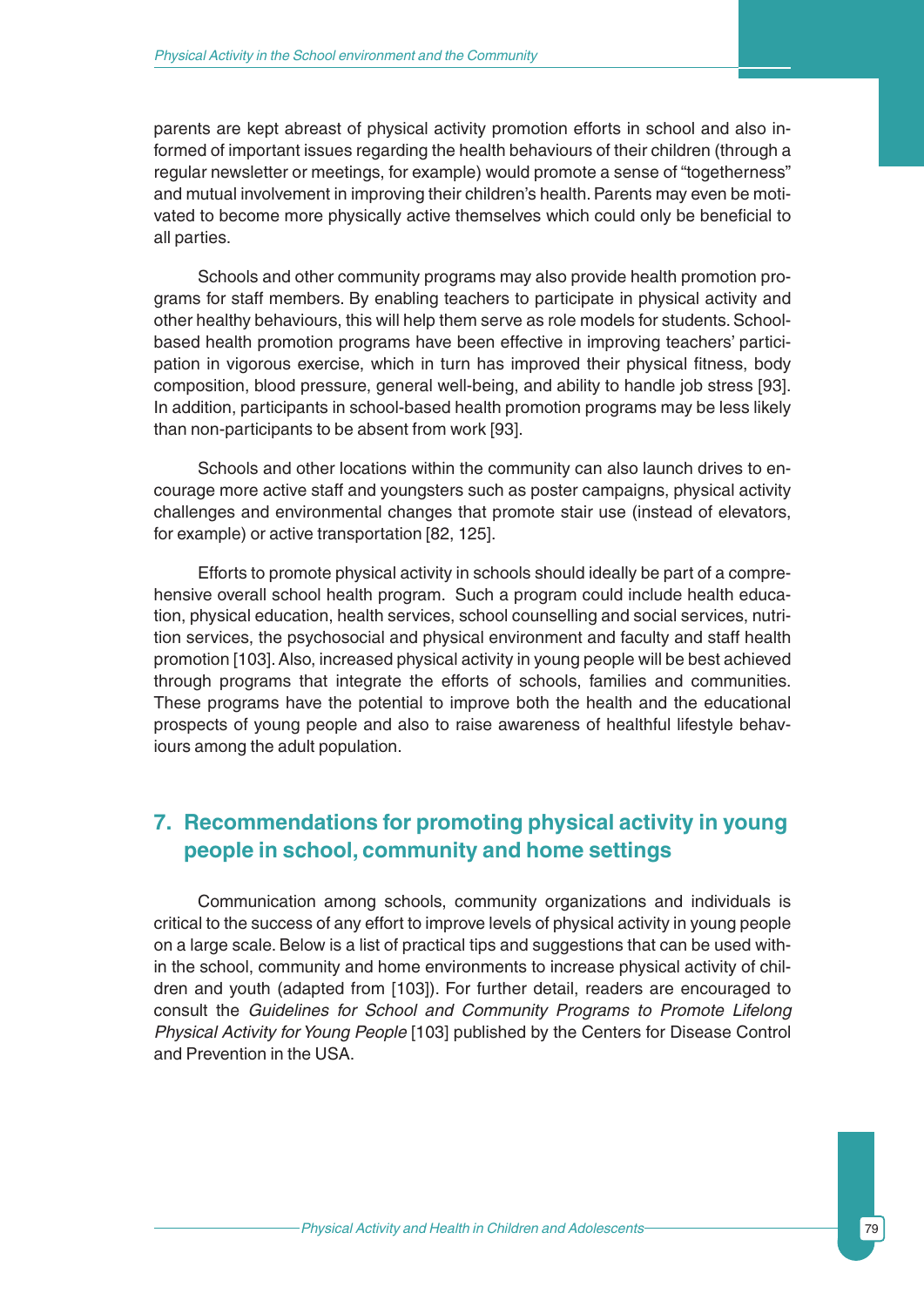parents are kept abreast of physical activity promotion efforts in school and also informed of important issues regarding the health behaviours of their children (through a regular newsletter or meetings, for example) would promote a sense of "togetherness" and mutual involvement in improving their children's health. Parents may even be motivated to become more physically active themselves which could only be beneficial to all parties.

Schools and other community programs may also provide health promotion programs for staff members. By enabling teachers to participate in physical activity and other healthy behaviours, this will help them serve as role models for students. Schoolbased health promotion programs have been effective in improving teachers' participation in vigorous exercise, which in turn has improved their physical fitness, body composition, blood pressure, general well-being, and ability to handle job stress [93]. In addition, participants in school-based health promotion programs may be less likely than non-participants to be absent from work [93].

Schools and other locations within the community can also launch drives to encourage more active staff and youngsters such as poster campaigns, physical activity challenges and environmental changes that promote stair use (instead of elevators, for example) or active transportation [82, 125].

Efforts to promote physical activity in schools should ideally be part of a comprehensive overall school health program. Such a program could include health education, physical education, health services, school counselling and social services, nutrition services, the psychosocial and physical environment and faculty and staff health promotion [103]. Also, increased physical activity in young people will be best achieved through programs that integrate the efforts of schools, families and communities. These programs have the potential to improve both the health and the educational prospects of young people and also to raise awareness of healthful lifestyle behaviours among the adult population.

## **7. Recommendations for promoting physical activity in young people in school, community and home settings**

Communication among schools, community organizations and individuals is critical to the success of any effort to improve levels of physical activity in young people on a large scale. Below is a list of practical tips and suggestions that can be used within the school, community and home environments to increase physical activity of children and youth (adapted from [103]). For further detail, readers are encouraged to consult the *Guidelines for School and Community Programs to Promote Lifelong Physical Activity for Young People* [103] published by the Centers for Disease Control and Prevention in the USA.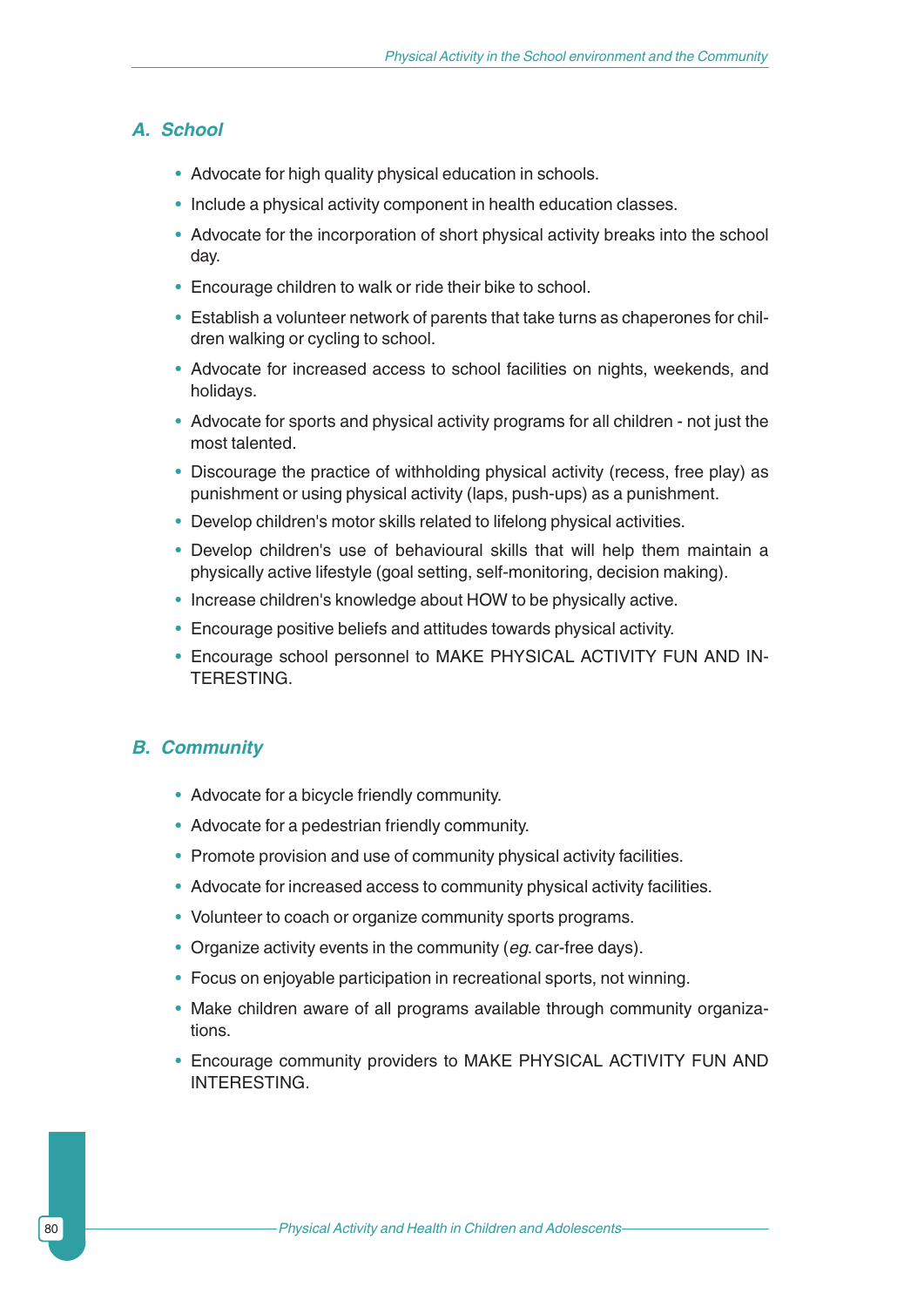#### *A. School*

- Advocate for high quality physical education in schools.
- Include a physical activity component in health education classes.
- Advocate for the incorporation of short physical activity breaks into the school day.
- Encourage children to walk or ride their bike to school.
- Establish a volunteer network of parents that take turns as chaperones for children walking or cycling to school.
- Advocate for increased access to school facilities on nights, weekends, and holidays.
- Advocate for sports and physical activity programs for all children not just the most talented.
- Discourage the practice of withholding physical activity (recess, free play) as punishment or using physical activity (laps, push-ups) as a punishment.
- Develop children's motor skills related to lifelong physical activities.
- Develop children's use of behavioural skills that will help them maintain a physically active lifestyle (goal setting, self-monitoring, decision making).
- Increase children's knowledge about HOW to be physically active.
- Encourage positive beliefs and attitudes towards physical activity.
- Encourage school personnel to MAKE PHYSICAL ACTIVITY FUN AND IN-TERESTING.

#### *B. Community*

- Advocate for a bicycle friendly community.
- Advocate for a pedestrian friendly community.
- Promote provision and use of community physical activity facilities.
- Advocate for increased access to community physical activity facilities.
- Volunteer to coach or organize community sports programs.
- Organize activity events in the community (*eg*. car-free days).
- Focus on enjoyable participation in recreational sports, not winning.
- Make children aware of all programs available through community organizations.
- Encourage community providers to MAKE PHYSICAL ACTIVITY FUN AND INTERESTING.